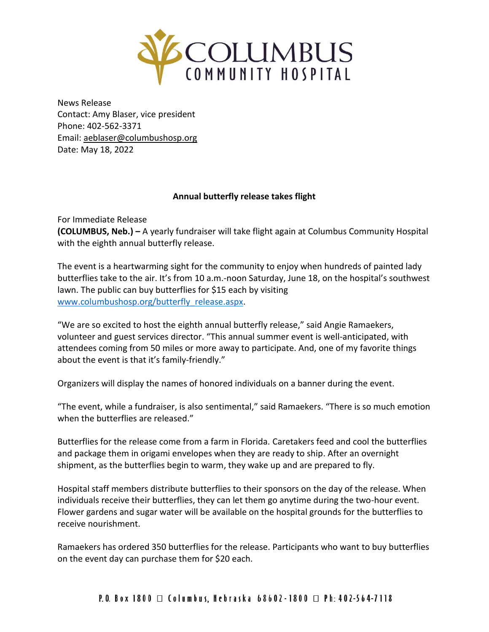

News Release Contact: Amy Blaser, vice president Phone: 402-562-3371 Email: [aeblaser@columbushosp.org](mailto:aeblaser@columbushosp.org) Date: May 18, 2022

## **Annual butterfly release takes flight**

For Immediate Release

**(COLUMBUS, Neb.) –** A yearly fundraiser will take flight again at Columbus Community Hospital with the eighth annual butterfly release.

The event is a heartwarming sight for the community to enjoy when hundreds of painted lady butterflies take to the air. It's from 10 a.m.-noon Saturday, June 18, on the hospital's southwest lawn. The public can buy butterflies for \$15 each by visiting [www.columbushosp.org/butterfly\\_release.aspx.](http://www.columbushosp.org/butterfly_release.aspx)

"We are so excited to host the eighth annual butterfly release," said Angie Ramaekers, volunteer and guest services director. "This annual summer event is well-anticipated, with attendees coming from 50 miles or more away to participate. And, one of my favorite things about the event is that it's family-friendly."

Organizers will display the names of honored individuals on a banner during the event.

"The event, while a fundraiser, is also sentimental," said Ramaekers. "There is so much emotion when the butterflies are released."

Butterflies for the release come from a farm in Florida. Caretakers feed and cool the butterflies and package them in origami envelopes when they are ready to ship. After an overnight shipment, as the butterflies begin to warm, they wake up and are prepared to fly.

Hospital staff members distribute butterflies to their sponsors on the day of the release. When individuals receive their butterflies, they can let them go anytime during the two-hour event. Flower gardens and sugar water will be available on the hospital grounds for the butterflies to receive nourishment.

Ramaekers has ordered 350 butterflies for the release. Participants who want to buy butterflies on the event day can purchase them for \$20 each.